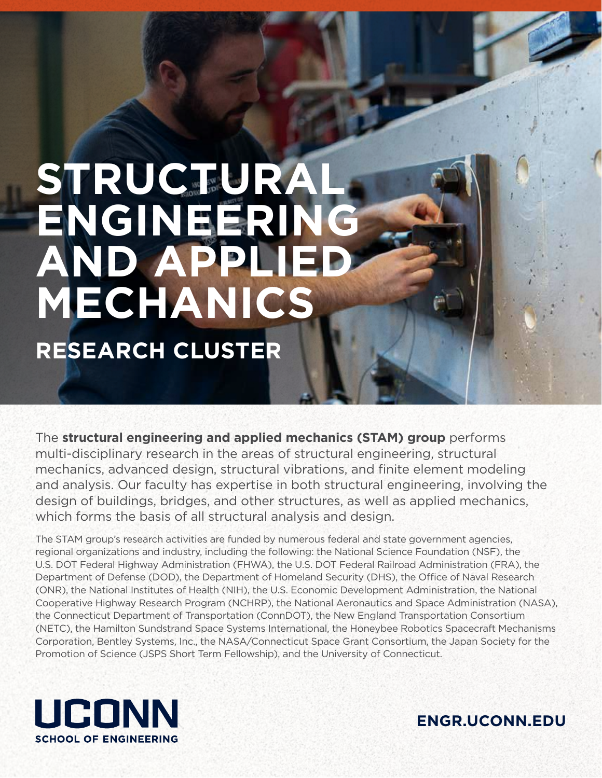# STRUC<sub>SS</sub>URAL **ENGINEERING AND APPLIED MECHANICS RESEARCH CLUSTER**

The **structural engineering and applied mechanics (STAM) group** performs multi-disciplinary research in the areas of structural engineering, structural mechanics, advanced design, structural vibrations, and finite element modeling and analysis. Our faculty has expertise in both structural engineering, involving the design of buildings, bridges, and other structures, as well as applied mechanics, which forms the basis of all structural analysis and design.

The STAM group's research activities are funded by numerous federal and state government agencies, regional organizations and industry, including the following: the National Science Foundation (NSF), the U.S. DOT Federal Highway Administration (FHWA), the U.S. DOT Federal Railroad Administration (FRA), the Department of Defense (DOD), the Department of Homeland Security (DHS), the Office of Naval Research (ONR), the National Institutes of Health (NIH), the U.S. Economic Development Administration, the National Cooperative Highway Research Program (NCHRP), the National Aeronautics and Space Administration (NASA), the Connecticut Department of Transportation (ConnDOT), the New England Transportation Consortium (NETC), the Hamilton Sundstrand Space Systems International, the Honeybee Robotics Spacecraft Mechanisms Corporation, Bentley Systems, Inc., the NASA/Connecticut Space Grant Consortium, the Japan Society for the Promotion of Science (JSPS Short Term Fellowship), and the University of Connecticut.



**ENGR.UCONN.EDU**